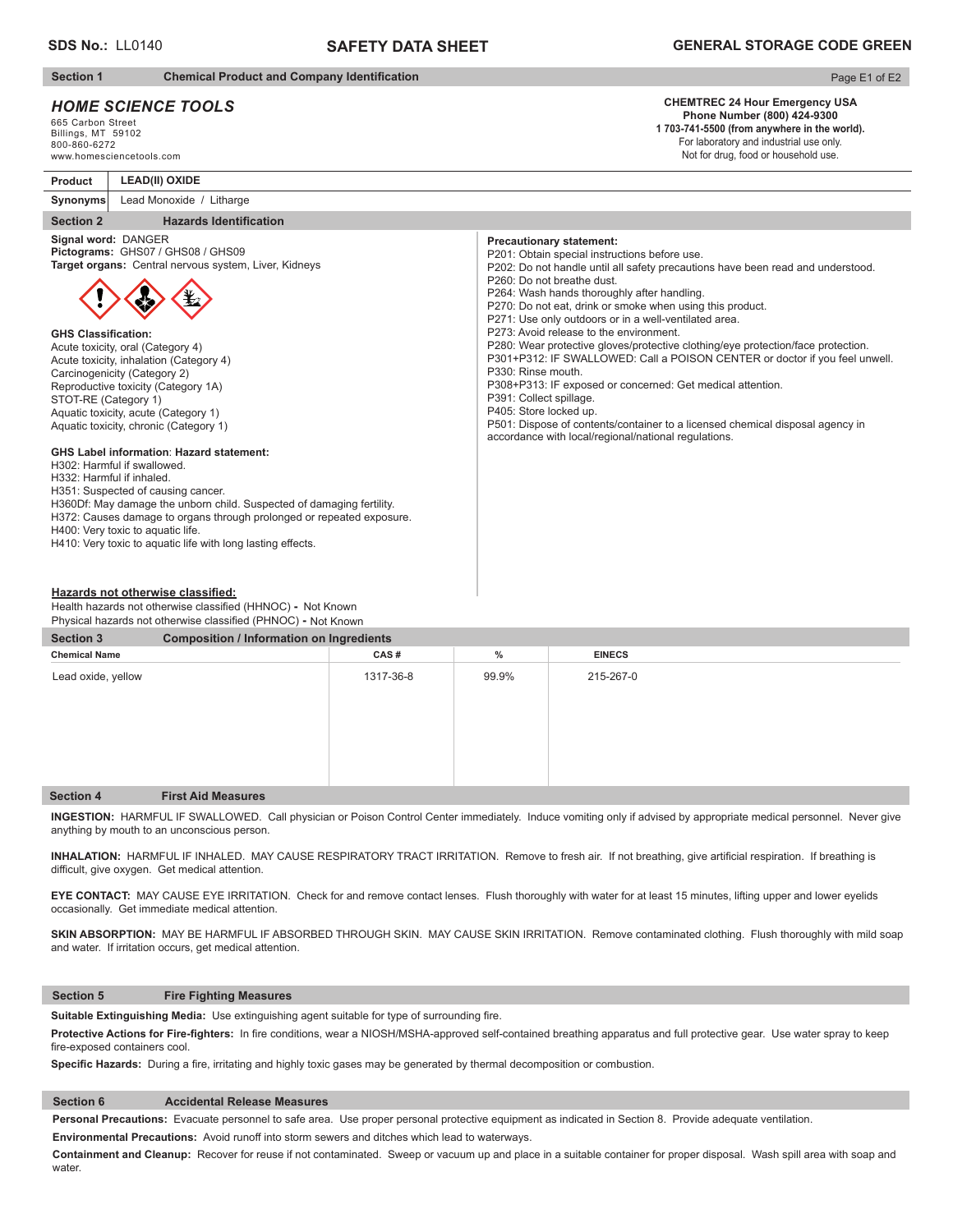# **SAFETY DATA SHEET**

## **Section 1** Chemical Product and Company Identification

# *HOME SCIENCE TOOLS*

**LEAD(II) OXIDE**

665 Carbon Street Billings, MT 59102 800-860-6272 www.homesciencetools.com

**Product**

# Page E1 of E2

#### **CHEMTREC 24 Hour Emergency USA Phone Number (800) 424-9300**

**1 703-741-5500 (from anywhere in the world).** For laboratory and industrial use only. Not for drug, food or household use.

| Synonyms<br>Lead Monoxide / Litharge                                                                                                                                                                                                                                                                                                                                                                                                                                                                                                                                                                                                                                                                                                                                                                                                                                                                                            |                                                                                                                                                                                                                                                                                                                                                                                                                                                                                                                                                                                                                                                                                                                                                                                                                                                                        |
|---------------------------------------------------------------------------------------------------------------------------------------------------------------------------------------------------------------------------------------------------------------------------------------------------------------------------------------------------------------------------------------------------------------------------------------------------------------------------------------------------------------------------------------------------------------------------------------------------------------------------------------------------------------------------------------------------------------------------------------------------------------------------------------------------------------------------------------------------------------------------------------------------------------------------------|------------------------------------------------------------------------------------------------------------------------------------------------------------------------------------------------------------------------------------------------------------------------------------------------------------------------------------------------------------------------------------------------------------------------------------------------------------------------------------------------------------------------------------------------------------------------------------------------------------------------------------------------------------------------------------------------------------------------------------------------------------------------------------------------------------------------------------------------------------------------|
| <b>Section 2</b><br><b>Hazards Identification</b>                                                                                                                                                                                                                                                                                                                                                                                                                                                                                                                                                                                                                                                                                                                                                                                                                                                                               |                                                                                                                                                                                                                                                                                                                                                                                                                                                                                                                                                                                                                                                                                                                                                                                                                                                                        |
| Signal word: DANGER<br>Pictograms: GHS07 / GHS08 / GHS09<br>Target organs: Central nervous system, Liver, Kidneys<br><b>GHS Classification:</b><br>Acute toxicity, oral (Category 4)<br>Acute toxicity, inhalation (Category 4)<br>Carcinogenicity (Category 2)<br>Reproductive toxicity (Category 1A)<br>STOT-RE (Category 1)<br>Aquatic toxicity, acute (Category 1)<br>Aquatic toxicity, chronic (Category 1)<br><b>GHS Label information: Hazard statement:</b><br>H302: Harmful if swallowed.<br>H332: Harmful if inhaled.<br>H351: Suspected of causing cancer.<br>H360Df: May damage the unborn child. Suspected of damaging fertility.<br>H372: Causes damage to organs through prolonged or repeated exposure.<br>H400: Very toxic to aquatic life.<br>H410: Very toxic to aquatic life with long lasting effects.<br>Hazards not otherwise classified:<br>Health hazards not otherwise classified (HHNOC) - Not Known | <b>Precautionary statement:</b><br>P201: Obtain special instructions before use.<br>P202: Do not handle until all safety precautions have been read and understood.<br>P260: Do not breathe dust.<br>P264: Wash hands thoroughly after handling.<br>P270: Do not eat, drink or smoke when using this product.<br>P271: Use only outdoors or in a well-ventilated area.<br>P273: Avoid release to the environment.<br>P280: Wear protective gloves/protective clothing/eye protection/face protection.<br>P301+P312: IF SWALLOWED: Call a POISON CENTER or doctor if you feel unwell.<br>P330: Rinse mouth.<br>P308+P313: IF exposed or concerned: Get medical attention.<br>P391: Collect spillage.<br>P405: Store locked up.<br>P501: Dispose of contents/container to a licensed chemical disposal agency in<br>accordance with local/regional/national regulations. |

Physical hazards not otherwise classified (PHNOC) **-** Not Known

| <b>Section 3</b>     | <b>Composition / Information on Ingredients</b> |           |       |               |  |
|----------------------|-------------------------------------------------|-----------|-------|---------------|--|
| <b>Chemical Name</b> |                                                 | CAS#      | $\%$  | <b>EINECS</b> |  |
| Lead oxide, yellow   |                                                 | 1317-36-8 | 99.9% | 215-267-0     |  |
| <b>Section 4</b>     | <b>First Aid Measures</b>                       |           |       |               |  |

**INGESTION:** HARMFUL IF SWALLOWED. Call physician or Poison Control Center immediately. Induce vomiting only if advised by appropriate medical personnel.Never give anything by mouth to an unconscious person.

INHALATION: HARMFUL IF INHALED. MAY CAUSE RESPIRATORY TRACT IRRITATION. Remove to fresh air. If not breathing, give artificial respiration. If breathing is difficult, give oxygen. Get medical attention.

**EYE CONTACT:** MAY CAUSE EYE IRRITATION. Check for and remove contact lenses. Flush thoroughly with water for at least 15 minutes, lifting upper and lower eyelids occasionally. Get immediate medical attention.

SKIN ABSORPTION: MAY BE HARMFUL IF ABSORBED THROUGH SKIN. MAY CAUSE SKIN IRRITATION. Remove contaminated clothing. Flush thoroughly with mild soap and water. If irritation occurs, get medical attention.

### **Section 5 Fire Fighting Measures**

Suitable Extinguishing Media: Use extinguishing agent suitable for type of surrounding fire.

Protective Actions for Fire-fighters: In fire conditions, wear a NIOSH/MSHA-approved self-contained breathing apparatus and full protective gear. Use water spray to keep fire-exposed containers cool.

Specific Hazards: During a fire, irritating and highly toxic gases may be generated by thermal decomposition or combustion.

## **Section 6 Accidental Release Measures**

**Personal Precautions:** Evacuate personnel to safe area. Use proper personal protective equipment as indicated in Section 8. Provide adequate ventilation.

**Environmental Precautions:** Avoid runoff into storm sewers and ditches which lead to waterways.

**Containment and Cleanup:** Recover for reuse if not contaminated. Sweep or vacuum up and place in a suitable container for proper disposal. Wash spill area with soap and water.